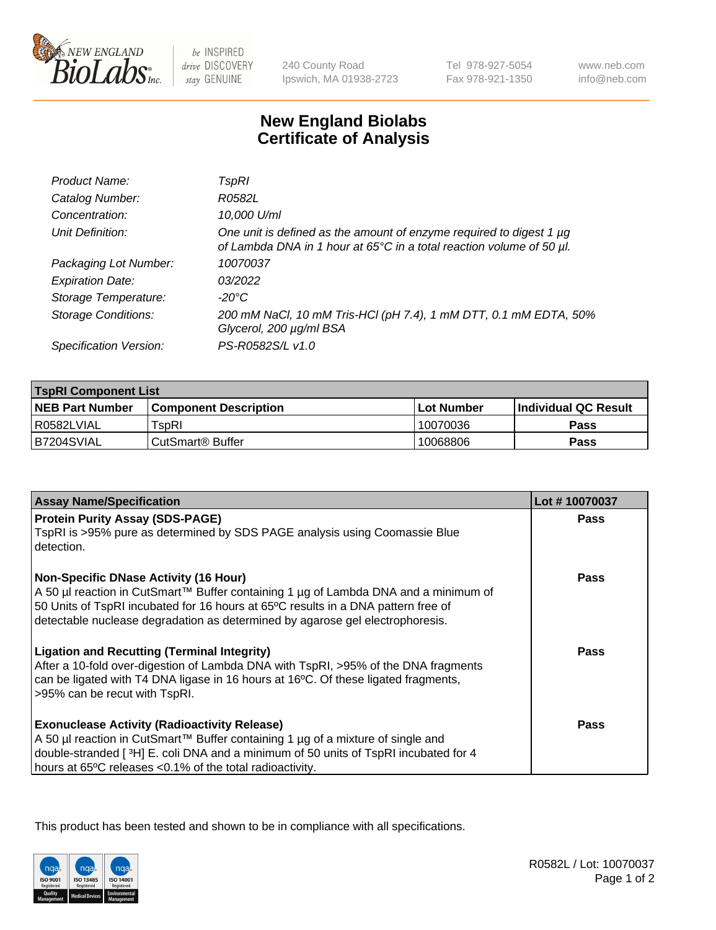

 $be$  INSPIRED drive DISCOVERY stay GENUINE

240 County Road Ipswich, MA 01938-2723 Tel 978-927-5054 Fax 978-921-1350

www.neb.com info@neb.com

## **New England Biolabs Certificate of Analysis**

| Product Name:              | TspRI                                                                                                                                            |
|----------------------------|--------------------------------------------------------------------------------------------------------------------------------------------------|
| Catalog Number:            | R0582L                                                                                                                                           |
| Concentration:             | 10,000 U/ml                                                                                                                                      |
| Unit Definition:           | One unit is defined as the amount of enzyme required to digest 1 $\mu$ g<br>of Lambda DNA in 1 hour at 65°C in a total reaction volume of 50 µl. |
| Packaging Lot Number:      | 10070037                                                                                                                                         |
| <b>Expiration Date:</b>    | 03/2022                                                                                                                                          |
| Storage Temperature:       | $-20^{\circ}$ C                                                                                                                                  |
| <b>Storage Conditions:</b> | 200 mM NaCl, 10 mM Tris-HCl (pH 7.4), 1 mM DTT, 0.1 mM EDTA, 50%<br>Glycerol, 200 µg/ml BSA                                                      |
| Specification Version:     | PS-R0582S/L v1.0                                                                                                                                 |

| <b>TspRI Component List</b> |                         |             |                             |  |
|-----------------------------|-------------------------|-------------|-----------------------------|--|
| <b>NEB Part Number</b>      | l Component Description | ⊺Lot Number | <b>Individual QC Result</b> |  |
| I R0582LVIAL                | $rSD$ RI                | 10070036    | Pass                        |  |
| B7204SVIAL                  | l CutSmart® Buffer      | 10068806    | Pass                        |  |

| <b>Assay Name/Specification</b>                                                                                                                                                                                                                                                                           | Lot #10070037 |
|-----------------------------------------------------------------------------------------------------------------------------------------------------------------------------------------------------------------------------------------------------------------------------------------------------------|---------------|
| <b>Protein Purity Assay (SDS-PAGE)</b><br>TspRI is >95% pure as determined by SDS PAGE analysis using Coomassie Blue<br>detection.                                                                                                                                                                        | <b>Pass</b>   |
| <b>Non-Specific DNase Activity (16 Hour)</b><br>A 50 µl reaction in CutSmart™ Buffer containing 1 µg of Lambda DNA and a minimum of<br>50 Units of TspRI incubated for 16 hours at 65°C results in a DNA pattern free of<br>detectable nuclease degradation as determined by agarose gel electrophoresis. | Pass          |
| <b>Ligation and Recutting (Terminal Integrity)</b><br>After a 10-fold over-digestion of Lambda DNA with TspRI, >95% of the DNA fragments<br>can be ligated with T4 DNA ligase in 16 hours at 16°C. Of these ligated fragments,<br>>95% can be recut with TspRI.                                           | Pass          |
| <b>Exonuclease Activity (Radioactivity Release)</b><br>A 50 µl reaction in CutSmart™ Buffer containing 1 µg of a mixture of single and<br>double-stranded [ $3H$ ] E. coli DNA and a minimum of 50 units of TspRI incubated for 4<br>hours at 65°C releases <0.1% of the total radioactivity.             | Pass          |

This product has been tested and shown to be in compliance with all specifications.